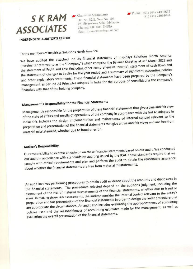# $S$   $K$   $RAM$   $S$  Chartered Accountants **ASSOCIATES**

Old No. 57/2, New No. 103 P.S. Sivaswamy Salai, Mylapore Chennai 600 004. INDIA skram1.associates@gmail.com

INDEPENDENT AUDITOR'S REPORT

To the members of Inspirisys Solutions North America

We have audited the attached Ind As financial statement of Inspirisys Solutions North America (hereinafter referred to as the "Company") which comprise the Balance Sheet as at 31<sup>st</sup> March 2022 and the statement of Profit and Loss (including other comprehensive income), statement of cash flows and the statement of changes in Equity for the year ended and a summary of significant accounting policies and other explanatory statements. These financial statements have been prepared by the Company's management as per Ind AS Principles adopted in India for the purpose of consolidating the company's financials with that of the holding company.

# Management's Responsibility for the Financial Statements

Management is responsible for the preparation of these financial statements that give a true and fair view of the state of affairs and results of operations of the company in accordance with the Ind AS adopted in India; this includes the design implementation and maintenance of internal control relevant to the preparation and presentation of the financial statements that give a true and fair views and are free from material misstatement, whether due to fraud or error.

# **Auditor's Responsibility**

Our responsibility to express an opinion on these financial statements based on our audit. We conducted our audit in accordance with standards on auditing issued by the ICAI. Those standards require that we comply with ethical requirements and plan and perform the audit to obtain the reasonable assurance about whether the financial statements are free from material misstatements.

An audit involves performing procedures to obtain audit evidence about the amounts and disclosures in the financial statements. The procedures selected depend on the auditor's judgment, including the assessment of the risk of material misstatements of the financial statements, whether due to fraud or error. In making those risk assessments, the auditor consider the internal control relevant to the entity's preparation and fair presentation of the financial statements in order to design the audit procedure that are appropriate the circumstances. An audit also includes evaluating the appropriateness of accounting policies used and the reasonableness of accounting estimates made by the management, as well as evaluation the overall presentation of the financial statements.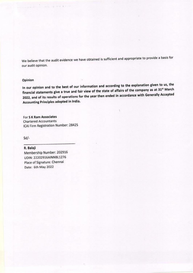We believe that the audit evidence we have obtained is sufficient and appropriate to provide a basis for our audit opinion.

## Opinion

In our opinion and to the best of our information and according to the explanation given to us, the financial statements give a true and fair view of the state of affairs of the company as at 31st March 2022, and of its results of operations for the year then ended in accordance with Generally Accepted Accounting Principles adopted in India.

For S K Ram Associates **Chartered Accountants** ICAI Firm Registration Number: 2842S

0 30 F & P - P1

 $Sd$ -

# R. Balaji

Membership Number: 202916 UDIN: 22202916AINNBL1276 Place of Signature: Chennai Date: 6th May 2022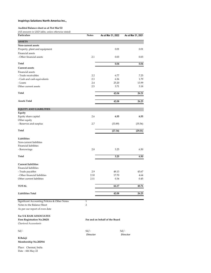#### Audited Balance sheet as at 31st Mar'22

(All amounts in USD lakhs, unless otherwise stated)

| $\mu$ in mononing in each<br><i>even to f verveooo o livor to loo o believe</i><br>Particulars | <b>Notes</b>   | As at Mar 31, 2022             | As at Mar 31, 2021 |
|------------------------------------------------------------------------------------------------|----------------|--------------------------------|--------------------|
| <b>ASSETS</b>                                                                                  |                |                                |                    |
| Non-current assets                                                                             |                |                                |                    |
| Property, plant and equipment                                                                  |                | 0.01                           | 0.01               |
| Financial assets                                                                               |                |                                |                    |
| - Other financial assets                                                                       | 2.1            | 0.03                           | 0.03               |
| Total                                                                                          |                | 0.04                           | 0.04               |
| <b>Current assets</b>                                                                          |                |                                |                    |
| Financial assets                                                                               |                |                                |                    |
| - Trade receivables                                                                            | 2.2            | 6.77                           | 7.25               |
| - Cash and cash equivalents                                                                    | 2.3            | 6.36                           | 1.79               |
| - Loans                                                                                        | 2.4            | 25.20                          | 13.99              |
| Other current assets                                                                           | 2.5            | 3.71                           | 3.18               |
| Total                                                                                          |                | 42.04                          | 26.21              |
| <b>Assets Total</b>                                                                            |                | 42.08                          | 26.25              |
|                                                                                                |                |                                |                    |
| <b>EQUITY AND LIABILITIES</b>                                                                  |                |                                |                    |
| Equity                                                                                         |                |                                |                    |
| Equity share capital                                                                           | 2.6            | 6.55                           | 6.55               |
| Other equity<br>- Reserves and surplus                                                         | 2.7            | (33.89)                        |                    |
|                                                                                                |                |                                | (35.56)            |
| Total                                                                                          |                | (27.34)                        | (29.01)            |
| Liabilities                                                                                    |                |                                |                    |
| Non-current liabilities                                                                        |                |                                |                    |
| Financial liabilities                                                                          |                |                                |                    |
| - Borrowings                                                                                   | 2.8            | 3.25                           | 6.50               |
| Total                                                                                          |                | 3.25                           | 6.50               |
|                                                                                                |                |                                |                    |
| <b>Current liabilities</b>                                                                     |                |                                |                    |
| <b>Financial liabilities</b>                                                                   |                |                                |                    |
| - Trade payables                                                                               | 2.9            | 48.13                          | 43.67              |
| - Other financial liabilities                                                                  | 2.10           | 17.70                          | 4.64               |
| Other current liabilities                                                                      | 2.11           | 0.34                           | 0.45               |
| TOTAL                                                                                          |                | 66.17                          | 48.76              |
|                                                                                                |                |                                |                    |
| <b>Liabilities Total</b>                                                                       |                | 42.08                          | 26.25              |
| Significant Accounting Policies & Other Notes                                                  | $\mathbf{1}$   |                                |                    |
| Notes to the Balance Sheet                                                                     | $\overline{2}$ |                                |                    |
| As per our report of even date                                                                 |                |                                |                    |
| For S K RAM ASSOCIATES                                                                         |                |                                |                    |
| Firm Registration No.2842S                                                                     |                | For and on behalf of the Board |                    |
| Chartered Accountants                                                                          |                |                                |                    |
|                                                                                                |                |                                |                    |
| $Sd$ /-                                                                                        | $Sd$ /-        |                                | $Sd$ /-            |
|                                                                                                | Director       |                                | Director           |

#### R.Balaji Membership No.202916

Place: Chennai, India Date : 6th May 22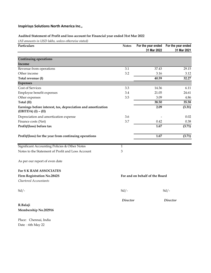# Audited Statement of Profit and loss account for Financial year ended 31st Mar 2022

(All amounts in USD lakhs, unless otherwise stated)

| Particulars                                                                           | <b>Notes</b>    | 31 Mar 2022                    | For the year ended For the year ended<br>31 Mar 2021 |
|---------------------------------------------------------------------------------------|-----------------|--------------------------------|------------------------------------------------------|
| <b>Continuing operations</b>                                                          |                 |                                |                                                      |
| Income                                                                                |                 |                                |                                                      |
| Revenue from operations                                                               | 3.1             | 37.43                          | 29.15                                                |
| Other income                                                                          | 3.2             | 3.16                           | 3.12                                                 |
| Total revenue (I)                                                                     |                 | 40.59                          | 32.27                                                |
| <b>Expenses</b>                                                                       |                 |                                |                                                      |
| Cost of Services                                                                      | 3.3             | 14.36                          | 6.11                                                 |
| Employee benefit expenses                                                             | 3.4             | 21.05                          | 24.61                                                |
| Other expenses                                                                        | 3.5             | 3.09                           | 4.86                                                 |
| Total (II)                                                                            |                 | 38.50                          | 35.58                                                |
| Earnings before interest, tax, depreciation and amortization<br>$(EBITDA) (I) - (II)$ |                 | 2.09                           | (3.31)                                               |
| Depreciation and amortization expense                                                 | 3.6             |                                | 0.02                                                 |
| Finance costs (Net)                                                                   | 3.7             | 0.42                           | 0.38                                                 |
| Profit/(loss) before tax                                                              |                 | 1.67                           | (3.71)                                               |
| Profit/(loss) for the year from continuing operations                                 |                 | 1.67                           | (3.71)                                               |
| Significant Accounting Policies & Other Notes                                         | $\mathbf{1}$    |                                |                                                      |
| Notes to the Statement of Profit and Loss Account                                     | 3               |                                |                                                      |
| As per our report of even date                                                        |                 |                                |                                                      |
| <b>For S K RAM ASSOCIATES</b>                                                         |                 |                                |                                                      |
| <b>Firm Registration No.2842S</b>                                                     |                 | For and on behalf of the Board |                                                      |
| Chartered Accountants                                                                 |                 |                                |                                                      |
| $Sd$ /-                                                                               | $Sd$ /-         |                                | $Sd$ /-                                              |
|                                                                                       | <b>Director</b> |                                | <b>Director</b>                                      |
| R.Balaji                                                                              |                 |                                |                                                      |
| Membership No.202916                                                                  |                 |                                |                                                      |
| Place: Chennai, India                                                                 |                 |                                |                                                      |
| Date: 6th May 22                                                                      |                 |                                |                                                      |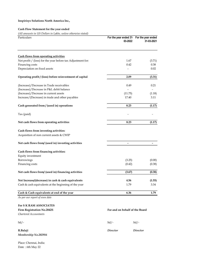### Cash Flow Statement for the year ended

(All amounts in US Dollars in Lakhs, unless otherwise stated)

| Particulars                                                 | For the year ended 31 For the year ended<br>03-2022 | 31-03-2021 |
|-------------------------------------------------------------|-----------------------------------------------------|------------|
|                                                             |                                                     |            |
| <b>Cash flows from operating activities</b>                 |                                                     |            |
| Net profit / (loss) for the year before tax Adjustment for: | 1.67                                                | (3.71)     |
| Financing costs                                             | 0.42                                                | 0.38       |
| Depreciation on fixed assets                                |                                                     | 0.02       |
| Operating profit / (loss) before reinvestment of capital    | 2.09                                                | (3.31)     |
| (Increase)/Decrease in Trade receivables                    | 0.49                                                | 0.21       |
| (Increase)/Decrease in P&L debit balance                    |                                                     |            |
| (Increase)/Decrease in current assets                       | (11.75)                                             | (1.18)     |
| Increase/(Decrease) in trade and other payables             | 17.40                                               | 3.11       |
| Cash generated from / (used in) operations                  | 8.23                                                | (1.17)     |
| Tax (paid)                                                  |                                                     |            |
| Net cash flows from operating activities                    | 8.23                                                | (1.17)     |
| Cash flows from investing activities:                       |                                                     |            |
| Acquisition of non current assets & CWIP                    |                                                     |            |
| Net cash flows from/ (used in) investing activities         |                                                     |            |
| Cash flows from financing activities:                       |                                                     |            |
| Equity investment                                           |                                                     |            |
| Borrowings                                                  | (3.25)                                              | (0.00)     |
| Financing costs                                             | (0.42)                                              | (0.38)     |
| Net cash flows from/ (used in) financing activities         | (3.67)                                              | (0.38)     |
| Net Increase/(decrease) in cash & cash equivalents          | 4.56                                                | (1.55)     |
| Cash & cash equivalents at the beginning of the year        | 1.79                                                | 3.34       |
| Cash & Cash equivalents at end of the year                  | 6.36                                                | 1.79       |
| As ner our renort of even date                              |                                                     |            |

As per our report of even date

# For S K RAM ASSOCIATES<br>Firm Registration No 2842S

| Firm Registration No.2842S<br>Chartered Accountants | For and on behalf of the Board |          |
|-----------------------------------------------------|--------------------------------|----------|
| $Sd$ /-                                             | $Sd$ /-                        | $Sd$ /-  |
| R.Balaji<br>Membership No.202916                    | Director                       | Director |

Place: Chennai, India Date : 6th May 22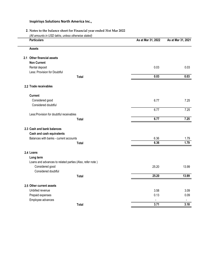# 2. Notes to the balance sheet for Financial year ended 31st Mar 2022

(All amounts in USD lakhs, unless otherwise stated)

 $\overline{\phantom{a}}$ 

| <b>Particulars</b>                                       | As at Mar 31, 2022 | As at Mar 31, 2021 |
|----------------------------------------------------------|--------------------|--------------------|
| <b>Assets</b>                                            |                    |                    |
| 2.1 Other financial assets                               |                    |                    |
| <b>Non Current</b>                                       |                    |                    |
| Rental deposit                                           | 0.03               | 0.03               |
| Less: Provision for Doubtful                             |                    |                    |
| <b>Total</b>                                             | 0.03               | 0.03               |
| 2.2 Trade receivables                                    |                    |                    |
| <b>Current</b>                                           |                    |                    |
| Considered good                                          | 6.77               | 7.25               |
| Considered doubtful                                      |                    |                    |
|                                                          | 6.77               | 7.25               |
| Less: Provision for doubtful receivables                 |                    |                    |
| <b>Total</b>                                             | 6.77               | 7.25               |
| 2.3 Cash and bank balances                               |                    |                    |
| Cash and cash equivalents                                |                    |                    |
| Balances with banks - current accounts                   | 6.36               | 1.79               |
| <b>Total</b>                                             | 6.36               | 1.79               |
| 2.4 Loans                                                |                    |                    |
| Long term                                                |                    |                    |
| Loans and advances to related parties (Also, refer note) |                    |                    |
| Considered good                                          | 25.20              | 13.99              |
| Considered doubtful                                      |                    |                    |
| <b>Total</b>                                             | 25.20              | 13.99              |
| 2.5 Other current assets                                 |                    |                    |
| Unbilled revenue                                         | 3.58               | 3.09               |
| Prepaid expenses                                         | 0.13               | 0.09               |
| Employee advances                                        |                    |                    |
| <b>Total</b>                                             | 3.71               | 3.18               |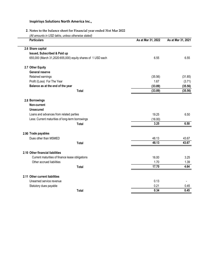# 2. Notes to the balance sheet for Financial year ended 31st Mar 2022

(All amounts in USD lakhs, unless otherwise stated)

| <b>Particulars</b>                                          | As at Mar 31, 2022 | As at Mar 31, 2021 |
|-------------------------------------------------------------|--------------------|--------------------|
| 2.6 Share capital                                           |                    |                    |
| Issued, Subscribed & Paid up                                |                    |                    |
| 655,000 (March 31,2020:655,000) equity shares of 1 USD each | 6.55               | 6.55               |
| 2.7 Other Equity                                            |                    |                    |
| <b>General reserve</b>                                      |                    |                    |
| Retained earnings                                           | (35.56)            | (31.85)            |
| Profit /(Loss) For The Year                                 | 1.67               | (3.71)             |
| Balance as at the end of the year                           | (33.89)            | (35.56)            |
| <b>Total</b>                                                | (33.89)            | (35.56)            |
| 2.8 Borrowings                                              |                    |                    |
| Non-current                                                 |                    |                    |
| <b>Unsecured</b>                                            |                    |                    |
| Loans and advances from related parties                     | 19.25              | 6.50               |
| Less: Current maturities of long-term borrowings            | (16.00)            |                    |
| <b>Total</b>                                                | 3.25               | 6.50               |
| 2.90 Trade payables                                         |                    |                    |
| Dues other than MSMED                                       | 48.13              | 43.67              |
| <b>Total</b>                                                | 48.13              | 43.67              |
| 2.10 Other financial liabilities                            |                    |                    |
| Current maturities of finance lease obligations             | 16.00              | 3.25               |
| Other accrued liabilities                                   | 1.70               | 1.39               |
| <b>Total</b>                                                | 17.70              | 4.64               |
| 2.11 Other current liabilities                              |                    |                    |
| Unearned service revenue                                    | 0.13               |                    |
| Statutory dues payable                                      | 0.21               | 0.45               |
| <b>Total</b>                                                | 0.34               | 0.45               |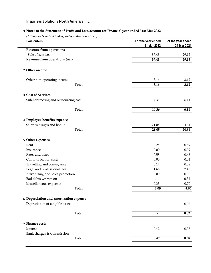# 3 Notes to the Statement of Profit and Loss account for Financial year ended 31st Mar 2022

(All amounts in USD lakhs, unless otherwise stated)

| Particulars                               | For the year ended<br>31 Mar 2022 | For the year ended<br>31 Mar 2021 |
|-------------------------------------------|-----------------------------------|-----------------------------------|
| 3.1 Revenue from operations               |                                   |                                   |
| Sale of services                          | 37.43                             | 29.15                             |
| Revenue from operations (net)             | 37.43                             | 29.15                             |
| 3.2 Other income                          |                                   |                                   |
| Other non-operating income                | 3.16                              | 3.12                              |
| <b>Total</b>                              | 3.16                              | 3.12                              |
| 3.3 Cost of Services                      |                                   |                                   |
| Sub-contracting and outsourcing cost      | 14.36                             | 6.11                              |
| <b>Total</b>                              | 14.36                             | 6.11                              |
| 3.4 Employee benefits expense             |                                   |                                   |
| Salaries, wages and bonus                 | 21.05                             | 24.61                             |
| <b>Total</b>                              | 21.05                             | 24.61                             |
| 3.5 Other expenses                        |                                   |                                   |
| Rent                                      | 0.25                              | 0.49                              |
| Insurance                                 | 0.09                              | 0.09                              |
| Rates and taxes                           | 0.58                              | 0.63                              |
| Communication costs                       | 0.00                              | 0.01                              |
| Travelling and conveyance                 | 0.17                              | 0.08                              |
| Legal and professional fees               | 1.66                              | 2.47                              |
| Advertising and sales promotion           | 0.00                              | 0.06                              |
| Bad debts written off                     |                                   | 0.32                              |
| Miscellaneous expenses                    | 0.33                              | 0.70                              |
| <b>Total</b>                              | 3.09                              | 4.86                              |
| 3.6 Depreciation and amortization expense |                                   |                                   |
| Depreciation of tangible assets           |                                   | 0.02                              |
| <b>Total</b>                              |                                   | 0.02                              |
| 3.7 Finance costs                         |                                   |                                   |
| Interest                                  | 0.42                              | 0.38                              |
| Bank charges & Commission                 | 0.42                              | 0.38                              |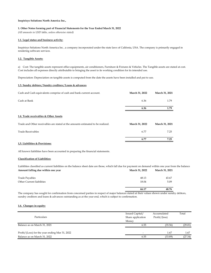#### 1. Other Notes forming part of Financial Statements for the Year Ended March 31, 2022

(All amounts in USD lakhs, unless otherwise stated)

#### 1.1. Legal status and business activity:

Inspirisys Solutions North America Inc , a company incorporated under the state laws of Califonia, USA. The company is primarily engaged in rendering software services.

#### 1.2. Tangible Assets:

a) Cost: The tangible assets represent office equipments, air conditioners, Furniture & Fixtures & Vehicles. The Tangible assets are stated at cost. Cost includes all expenses directly attributable to bringing the asset to its working condition for its intended use.

Depreciation: Depreciation on tangible assets is computed from the date the assets have been installed and put to use.

#### 1.3. Sundry debtors / Sundry creditors / Loans & advances

| Cash and Cash equivalents comprise of cash and bank current account.            | March 31, 2022 | March 31, 2021 |
|---------------------------------------------------------------------------------|----------------|----------------|
| Cash at Bank                                                                    | 6.36           | 1.79           |
|                                                                                 | 6.36           | 1.79           |
| 1.4. Trade receivables & Other Assets                                           |                |                |
| Trade and Other receivables are stated at the amounts estimated to be realized. | March 31, 2022 | March 31, 2021 |
| Trade Receivables                                                               | 6.77           | 7.25           |
|                                                                                 | 6.77           | 7.25           |

#### 1,5. Liabilities & Provisions:

All known liabilities have been accounted in preparing the financial statements.

#### Classification of Liabilities:

Amount falling due within one year **March 31, 2021** March 31, 2022 March 31, 2021 Liabilities classified as current liabilities on the balance sheet date are those, which fall due for payment on demand within one year from the balance

| Trade Payables            | 48.13 | 43.67 |
|---------------------------|-------|-------|
| Other Current liabilities | 18.04 | 5.09  |
|                           | 66.17 | 48.76 |

The company has sought for confirmation from concerned parties in respect of major balances stated at their values shown under sundry debtors, sundry creditors and loans & advances outstanding as at the year end, which is subject to confirmation.

#### 1.6. Changes in equity:

|                                                | Issued Capital/   | Accumulated    | Total   |
|------------------------------------------------|-------------------|----------------|---------|
| Particulars                                    | Share application | Profit/ (loss) |         |
|                                                | Money             |                |         |
| Balance as on March 31, 2021                   | 6.55              | (35.56)        | (29.01) |
|                                                |                   |                |         |
| Profit/(Loss) for the year ending Mar 31, 2022 |                   | 1.67           | 1.67    |
| Balance as on March 31, 2022                   | 6.55              | (33.89)        | (27.34) |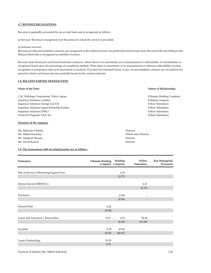#### 1.7. REVENUE RECOGNITION:

Revenue is generally accounted for on accrual basis and is recognized as follows:

a) Services: Revenue is recognized over the period in which the service is provided.

#### b) Software services:

Revenue on time-and-material contracts are recognized as the related services are performed and revenue from the end of the last billing to the Balance Sheet date is recognized as unbilled revenues.

Revenue from fixed-price and fixed-timeframe contracts, where there is no uncertainty as to measurement or collectability of consideration, is recognized based upon the percentage of completion method. When there is uncertainty as to measurement or ultimate collectability revenue recognition is postponed until such uncertainty is resolved. Provision for estimated losses, if any, on uncompleted contracts are recorded in the period in which such losses become probable based on the current estimates.

#### 1.8. RELATED PARTIES TRANSACTION

| Name of the Party                           | Nature of Relationship          |
|---------------------------------------------|---------------------------------|
| CAC Holidngs Corporation, Tokyo, Japan      | <b>Ultimate Holding Company</b> |
| Inspirisys Solutions Limited                | Holding company                 |
| Inspirisys Solutions Europe Ltd UK          | Fellow Subsidiary               |
| Inspirisys Solutions Japan Kabushiki Kaisha | Fellow Subsidiary               |
| <b>Inspirisys Solutions DMCC</b>            | Fellow Subsidiary               |
| Network Programs USA, Inc.                  | Fellow Subsidiary               |
| Directors of the company                    |                                 |

| Mr. Malcolm F Mehta | Director            |
|---------------------|---------------------|
| Mr. Milind Kalurkar | Whole time Director |
| Mr. Maqbool Hassan  | Director            |
| Mr. David Kumar     | Director            |

#### 1.9. The transactions with its related parties are as follows :

| Particulars                             | <b>Ultimate Holding</b><br>Company Company | Holding | Fellow<br>Subsidiary         | <b>Key Managerial</b><br>Personnel |
|-----------------------------------------|--------------------------------------------|---------|------------------------------|------------------------------------|
|                                         |                                            | 2.79    |                              |                                    |
| Sale of Services/Marketing Support Fees |                                            | (2.77)  |                              |                                    |
|                                         |                                            |         |                              |                                    |
| Interest Earned (ISDMCC)                |                                            |         | 0.37                         |                                    |
|                                         |                                            |         | (0.17)                       |                                    |
| Purchases                               |                                            | 13.86   |                              |                                    |
|                                         |                                            | (6.56)  | $\qquad \qquad \blacksquare$ |                                    |
|                                         |                                            |         |                              |                                    |
| <b>Interest Paid</b>                    | 0.42                                       |         |                              |                                    |
|                                         | (0.38)                                     |         |                              |                                    |
| Loans and Advances / Receivables        | 0.01                                       | 0.19    | 24.44                        |                                    |
|                                         | $\overline{\phantom{a}}$                   | (0.18)  | (13.60)                      |                                    |
|                                         |                                            |         |                              |                                    |
| Payables                                | 0.18                                       | 47.86   |                              |                                    |
|                                         | (0.10)                                     | (44.41) | $\qquad \qquad \blacksquare$ |                                    |
|                                         |                                            |         |                              |                                    |
| Loans Outstanding                       | 19.25                                      |         |                              |                                    |
|                                         | 9.75                                       |         |                              |                                    |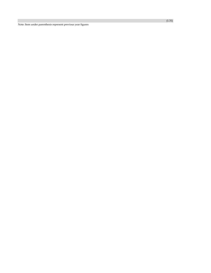Note: Item under parenthesis represent previous year figures